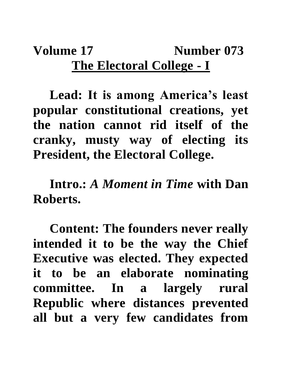## **Volume 17 Number 073 The Electoral College - I**

**Lead: It is among America's least popular constitutional creations, yet the nation cannot rid itself of the cranky, musty way of electing its President, the Electoral College.**

**Intro.:** *A Moment in Time* **with Dan Roberts.**

**Content: The founders never really intended it to be the way the Chief Executive was elected. They expected it to be an elaborate nominating committee. In a largely rural Republic where distances prevented all but a very few candidates from**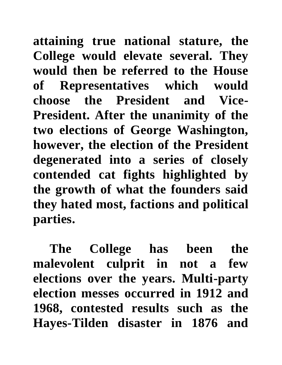**attaining true national stature, the College would elevate several. They would then be referred to the House of Representatives which would choose the President and Vice-President. After the unanimity of the two elections of George Washington, however, the election of the President degenerated into a series of closely contended cat fights highlighted by the growth of what the founders said they hated most, factions and political parties.**

**The College has been the malevolent culprit in not a few elections over the years. Multi-party election messes occurred in 1912 and 1968, contested results such as the Hayes-Tilden disaster in 1876 and**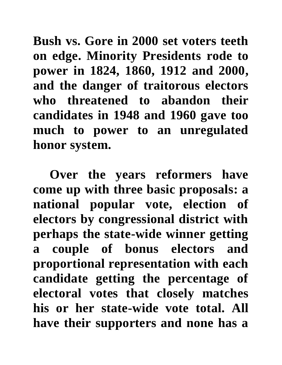**Bush vs. Gore in 2000 set voters teeth on edge. Minority Presidents rode to power in 1824, 1860, 1912 and 2000, and the danger of traitorous electors who threatened to abandon their candidates in 1948 and 1960 gave too much to power to an unregulated honor system.**

**Over the years reformers have come up with three basic proposals: a national popular vote, election of electors by congressional district with perhaps the state-wide winner getting a couple of bonus electors and proportional representation with each candidate getting the percentage of electoral votes that closely matches his or her state-wide vote total. All have their supporters and none has a**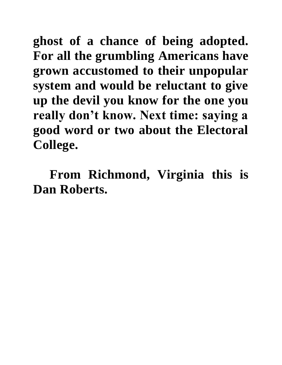**ghost of a chance of being adopted. For all the grumbling Americans have grown accustomed to their unpopular system and would be reluctant to give up the devil you know for the one you really don't know. Next time: saying a good word or two about the Electoral College.**

**From Richmond, Virginia this is Dan Roberts.**